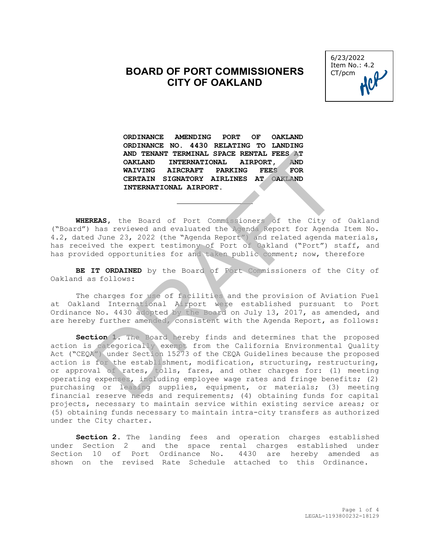## **BOARD OF PORT COMMISSIONERS CITY OF OAKLAND**



**ORDINANCE AMENDING PORT OF OAKLAND ORDINANCE NO. 4430 RELATING TO LANDING AND TENANT TERMINAL SPACE RENTAL FEES AT OAKLAND INTERNATIONAL AIRPORT, AND AIRCRAFT PARKING FEES CERTAIN SIGNATORY AIRLINES AT OAKLAND INTERNATIONAL AIRPORT.**

**WHEREAS,** the Board of Port Commissioners of the City of Oakland ("Board") has reviewed and evaluated the Agenda Report for Agenda Item No. 4.2, dated June 23, 2022 (the "Agenda Report") and related agenda materials, has received the expert testimony of Port of Oakland ("Port") staff, and has provided opportunities for and taken public comment; now, therefore

**BE IT ORDAINED** by the Board of Port Commissioners of the City of Oakland as follows:

The charges for use of facilities and the provision of Aviation Fuel at Oakland International Airport were established pursuant to Port Ordinance No. 4430 adopted by the Board on July 13, 2017, as amended, and are hereby further amended, consistent with the Agenda Report, as follows:

**Section 1.** The Board hereby finds and determines that the proposed action is categorically exempt from the California Environmental Quality Act ("CEQA") under Section 15273 of the CEQA Guidelines because the proposed action is for the establishment, modification, structuring, restructuring, or approval of rates, tolls, fares, and other charges for: (1) meeting operating expenses, including employee wage rates and fringe benefits; (2) purchasing or leasing supplies, equipment, or materials; (3) meeting financial reserve needs and requirements; (4) obtaining funds for capital projects, necessary to maintain service within existing service areas; or (5) obtaining funds necessary to maintain intra-city transfers as authorized under the City charter. AND TENANT TERENTAL SPACE RENTAL FEES AT ONCEANING INTERNATIONAL AIRPORT. AND WAIVING AIRCRAFT PARKING FEES FOR CERTAIN SIGNATORY AIRLINES AT OAKLAND INTERNATIONAL AIRPORT.<br>
NEARS, the Board of Port Commissioners of the Ci

**Section 2**. The landing fees and operation charges established under Section 2 and the space rental charges established under Section 10 of Port Ordinance No. 4430 are hereby amended as shown on the revised Rate Schedule attached to this Ordinance.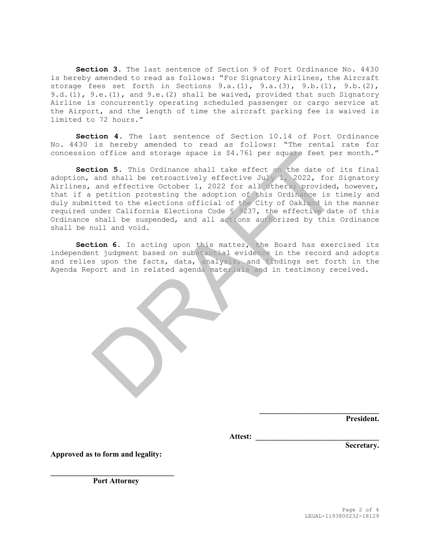**Section 3**. The last sentence of Section 9 of Port Ordinance No. 4430 is hereby amended to read as follows: "For Signatory Airlines, the Aircraft storage fees set forth in Sections 9.a. $(1)$ , 9.a. $(3)$ , 9.b. $(1)$ , 9.b. $(2)$ , 9.d.(1), 9.e.(1), and 9.e.(2) shall be waived, provided that such Signatory Airline is concurrently operating scheduled passenger or cargo service at the Airport, and the length of time the aircraft parking fee is waived is limited to 72 hours."

**Section 4**. The last sentence of Section 10.14 of Port Ordinance No. 4430 is hereby amended to read as follows: "The rental rate for concession office and storage space is \$4.761 per square feet per month."

**Section 5**. This Ordinance shall take effect on the date of its final adoption, and shall be retroactively effective July 1, 2022, for Signatory Airlines, and effective October 1, 2022 for all others; provided, however, that if a petition protesting the adoption of this Ordinance is timely and duly submitted to the elections official of the City of Oakland in the manner required under California Elections Code § 9237, the effective date of this Ordinance shall be suspended, and all actions authorized by this Ordinance shall be null and void. n office and storage space is \$4.761 per square feet per<br>
tion 5. This Ordinance shall take effect on the date of<br>
and shall be retroatively effective July 1, 2022, for all others;<br>
provided,<br>
petition protesting the adopt

**Section 6**. In acting upon this matter, the Board has exercised its independent judgment based on substantial evidence in the record and adopts and relies upon the facts, data, analysis, and findings set forth in the Agenda Report and in related agenda materials and in testimony received.

**President.**

**Attest: \_\_\_\_\_\_\_\_\_\_\_\_\_\_\_\_\_\_\_\_\_\_\_\_\_\_\_\_\_\_\_\_** 

**Secretary.**

**Approved as to form and legality:**

**\_\_\_\_\_\_\_\_\_\_\_\_\_\_\_\_\_\_\_\_\_\_\_\_\_\_\_\_\_\_\_\_ Port Attorney**

**\_\_\_\_\_\_\_\_\_\_\_\_\_\_\_\_\_\_\_\_\_\_\_\_\_\_\_\_\_\_\_**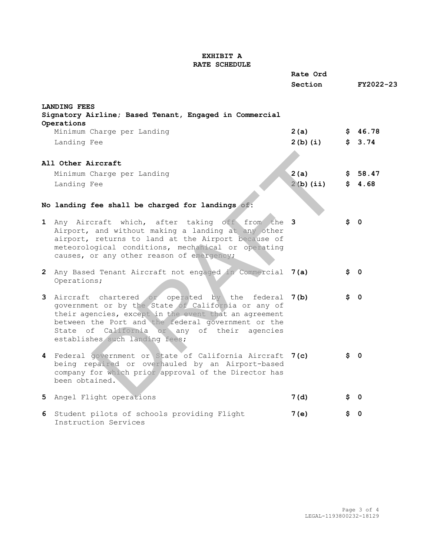## **EXHIBIT A RATE SCHEDULE**

|                                                                                                                                                                                                                                                                                                             | Rate Ord    |      |            |
|-------------------------------------------------------------------------------------------------------------------------------------------------------------------------------------------------------------------------------------------------------------------------------------------------------------|-------------|------|------------|
|                                                                                                                                                                                                                                                                                                             | Section     |      | FY2022-23  |
| <b>LANDING FEES</b><br>Signatory Airline; Based Tenant, Engaged in Commercial                                                                                                                                                                                                                               |             |      |            |
| Operations<br>Minimum Charge per Landing                                                                                                                                                                                                                                                                    | 2(a)        |      | \$46.78    |
| Landing Fee                                                                                                                                                                                                                                                                                                 | $2(b)$ (i)  |      | \$3.74     |
|                                                                                                                                                                                                                                                                                                             |             |      |            |
| All Other Aircraft                                                                                                                                                                                                                                                                                          |             |      |            |
| Minimum Charge per Landing                                                                                                                                                                                                                                                                                  | 2(a)        |      | \$58.47    |
| Landing Fee                                                                                                                                                                                                                                                                                                 | $2(b)$ (ii) |      | \$4.68     |
|                                                                                                                                                                                                                                                                                                             |             |      |            |
| No landing fee shall be charged for landings of:                                                                                                                                                                                                                                                            |             |      |            |
|                                                                                                                                                                                                                                                                                                             |             |      |            |
| 1 Any Aircraft which, after taking off from the 3<br>Airport, and without making a landing at any other<br>airport, returns to land at the Airport because of<br>meteorological conditions, mechanical or operating<br>causes, or any other reason of emergency;                                            |             |      | $\sin 0$   |
| 2 Any Based Tenant Aircraft not engaged in Commercial 7(a)<br>Operations;                                                                                                                                                                                                                                   |             |      | \$0        |
| 3 Aircraft chartered or operated by the federal 7(b)<br>government or by the State of California or any of<br>their agencies, except in the event that an agreement<br>between the Port and the federal government or the<br>State of California or any of their agencies<br>establishes such landing fees; |             |      | \$ 0       |
| 4 Federal government or State of California Aircraft 7(c)<br>being repaired or overhauled by an Airport-based<br>company for which prior approval of the Director has<br>been obtained.                                                                                                                     |             | \$ 0 |            |
| 5 Angel Flight operations                                                                                                                                                                                                                                                                                   | 7 (d)       |      | <b>Ş</b> 0 |
| 6 Student pilots of schools providing Flight<br>Instruction Services                                                                                                                                                                                                                                        | 7 (e)       | S.   | 0          |